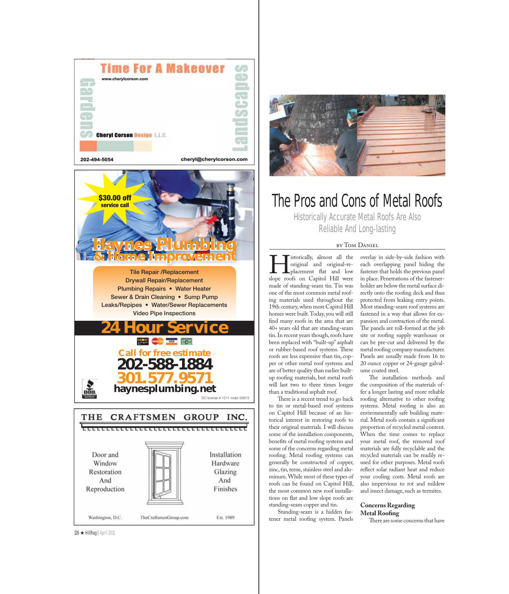









## The Pros and Cons of Metal Roofs

Historically Accurate Metal Roofs Are Also Reliable And Long-lasting

Interiorally, almost all the<br>priginal and original-re-<br>placement flat and low<br>slope roofs on Capitol Hill were original and original-replacement flat and low slope roofs on Capitol Hill were made of standing-seam tin. Tin was one of the most common metal roofing materials used throughout the 19th century, when most Capitol Hill homes were built. Today, you will still find many roofs in the area that are 40+ years old that are standing-seam tin. In recent years though, roofs have been replaced with "built-up" asphalt or rubber-based roof systems. These roofs are less expensive than tin, copper or other metal roof systems and are of better quality than earlier builtup roofing materials, but metal roofs will last two to three times longer than a traditional asphalt roof.

There is a recent trend to go back to tin or metal-based roof systems on Capitol Hill because of an historical interest in restoring roofs to their original materials. I will discuss some of the installation components, benefits of metal roofing systems and some of the concerns regarding metal roofing. Metal roofing systems can generally be constructed of copper, zinc, tin, terne, stainless steel and aluminum. While most of these types of roofs can be found on Capitol Hill, the most common new roof installations on flat and low slope roofs are standing-seam copper and tin.

Standing-seam is a hidden fastener metal roofing system. Panels

overlay in side-by-side fashion with each overlapping panel hiding the fastener that holds the previous panel in place. Penetrations of the fastenerholder are below the metal surface directly onto the roofing deck and thus protected from leaking entry points. Most standing-seam roof systems are fastened in a way that allows for expansion and contraction of the metal. The panels are roll-formed at the job site or roofing supply warehouse or can be pre-cut and delivered by the metal roofing company manufacturer. Panels are usually made from 16 to 20 ounce copper or 24-gauge galvalume coated steel.

The installation methods and the composition of the materials offer a longer lasting and more reliable roofing alternative to other roofing systems. Metal roofing is also an environmentally safe building material. Metal roofs contain a significant proportion of recycled metal content. When the time comes to replace your metal roof, the removed roof materials are fully recyclable and the recycled materials can be readily reused for other purposes. Metal roofs reflect solar radiant heat and reduce your cooling costs. Metal roofs are also impervious to rot and mildew and insect damage, such as termites.

### **Concerns Regarding Metal Roofing**

There are some concerns that have

126 ★ HillRag|April 2011